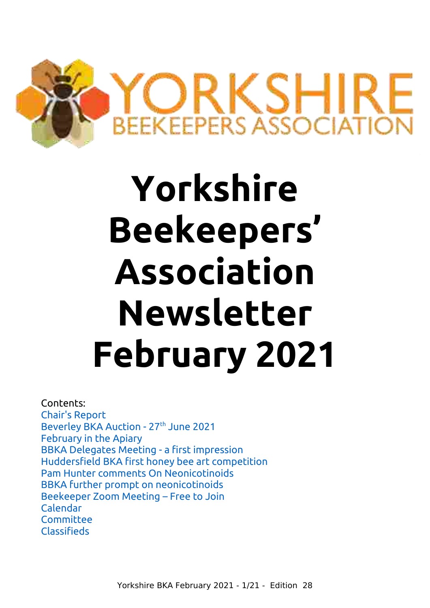

# **Yorkshire Beekeepers' Association Newsletter February 2021**

Contents: [Chair's Report](#page-1-0) [Beverley BKA Auction - 27](#page-2-0)<sup>th</sup> June 2021 [February in the Apiary](#page-2-1) [BBKA Delegates Meeting - a first impression](#page-4-0) [Huddersfield BKA first honey bee art competition](#page-6-0) [Pam Hunter comments On Neonicotinoids](#page-7-0) [BBKA further prompt on neonicotinoids](#page-11-1) [Beekeeper Zoom Meeting – Free to Join](#page-11-0) [Calendar](#page-13-0) **[Committee](#page-14-1)** [Classifieds](#page-14-0)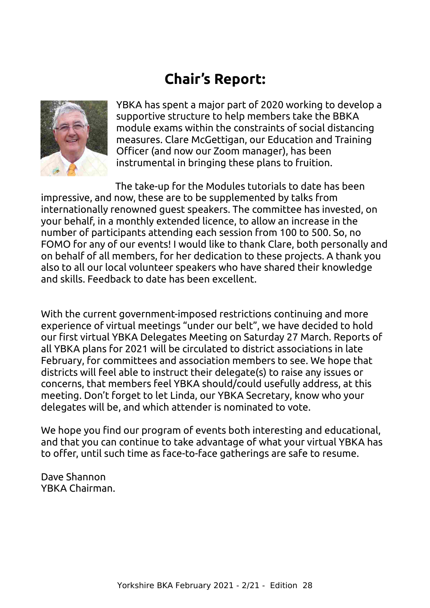## **Chair's Report:**



<span id="page-1-0"></span>YBKA has spent a major part of 2020 working to develop a supportive structure to help members take the BBKA module exams within the constraints of social distancing measures. Clare McGettigan, our Education and Training Officer (and now our Zoom manager), has been instrumental in bringing these plans to fruition.

The take-up for the Modules tutorials to date has been impressive, and now, these are to be supplemented by talks from internationally renowned guest speakers. The committee has invested, on your behalf, in a monthly extended licence, to allow an increase in the number of participants attending each session from 100 to 500. So, no FOMO for any of our events! I would like to thank Clare, both personally and on behalf of all members, for her dedication to these projects. A thank you also to all our local volunteer speakers who have shared their knowledge and skills. Feedback to date has been excellent.

With the current government-imposed restrictions continuing and more experience of virtual meetings "under our belt", we have decided to hold our first virtual YBKA Delegates Meeting on Saturday 27 March. Reports of all YBKA plans for 2021 will be circulated to district associations in late February, for committees and association members to see. We hope that districts will feel able to instruct their delegate(s) to raise any issues or concerns, that members feel YBKA should/could usefully address, at this meeting. Don't forget to let Linda, our YBKA Secretary, know who your delegates will be, and which attender is nominated to vote.

We hope you find our program of events both interesting and educational, and that you can continue to take advantage of what your virtual YBKA has to offer, until such time as face-to-face gatherings are safe to resume.

Dave Shannon YBKA Chairman.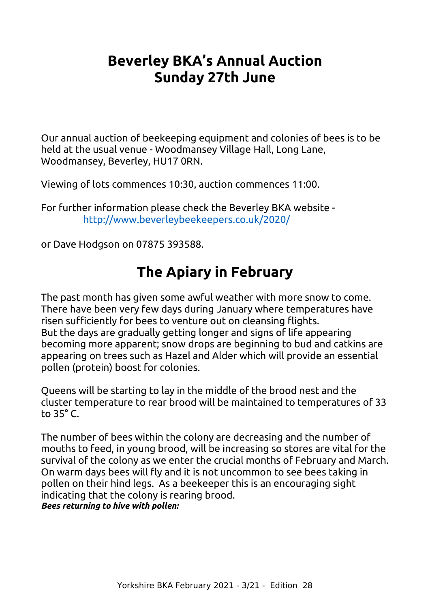## <span id="page-2-0"></span>**Beverley BKA's Annual Auction Sunday 27th June**

Our annual auction of beekeeping equipment and colonies of bees is to be held at the usual venue - Woodmansey Village Hall, Long Lane, Woodmansey, Beverley, HU17 0RN.

Viewing of lots commences 10:30, auction commences 11:00.

For further information please check the Beverley BKA website <http://www.beverleybeekeepers.co.uk/2020/>

or Dave Hodgson on 07875 393588.

## <span id="page-2-1"></span>**The Apiary in February**

The past month has given some awful weather with more snow to come. There have been very few days during January where temperatures have risen sufficiently for bees to venture out on cleansing flights. But the days are gradually getting longer and signs of life appearing becoming more apparent; snow drops are beginning to bud and catkins are appearing on trees such as Hazel and Alder which will provide an essential pollen (protein) boost for colonies.

Queens will be starting to lay in the middle of the brood nest and the cluster temperature to rear brood will be maintained to temperatures of 33 to 35° C.

The number of bees within the colony are decreasing and the number of mouths to feed, in young brood, will be increasing so stores are vital for the survival of the colony as we enter the crucial months of February and March. On warm days bees will fly and it is not uncommon to see bees taking in pollen on their hind legs. As a beekeeper this is an encouraging sight indicating that the colony is rearing brood. *Bees returning to hive with pollen:*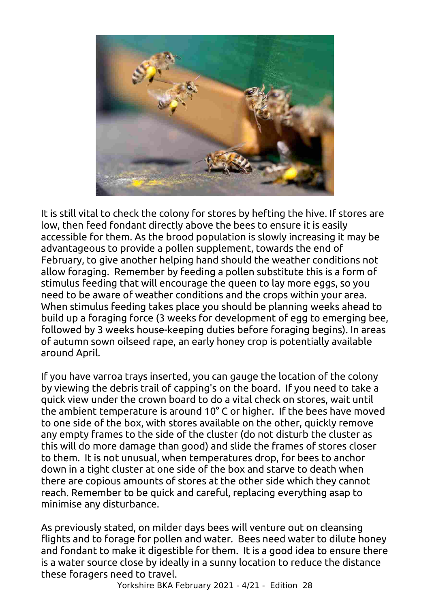

It is still vital to check the colony for stores by hefting the hive. If stores are low, then feed fondant directly above the bees to ensure it is easily accessible for them. As the brood population is slowly increasing it may be advantageous to provide a pollen supplement, towards the end of February, to give another helping hand should the weather conditions not allow foraging. Remember by feeding a pollen substitute this is a form of stimulus feeding that will encourage the queen to lay more eggs, so you need to be aware of weather conditions and the crops within your area. When stimulus feeding takes place you should be planning weeks ahead to build up a foraging force (3 weeks for development of egg to emerging bee, followed by 3 weeks house-keeping duties before foraging begins). In areas of autumn sown oilseed rape, an early honey crop is potentially available around April.

If you have varroa trays inserted, you can gauge the location of the colony by viewing the debris trail of capping's on the board. If you need to take a quick view under the crown board to do a vital check on stores, wait until the ambient temperature is around 10° C or higher. If the bees have moved to one side of the box, with stores available on the other, quickly remove any empty frames to the side of the cluster (do not disturb the cluster as this will do more damage than good) and slide the frames of stores closer to them. It is not unusual, when temperatures drop, for bees to anchor down in a tight cluster at one side of the box and starve to death when there are copious amounts of stores at the other side which they cannot reach. Remember to be quick and careful, replacing everything asap to minimise any disturbance.

As previously stated, on milder days bees will venture out on cleansing flights and to forage for pollen and water. Bees need water to dilute honey and fondant to make it digestible for them. It is a good idea to ensure there is a water source close by ideally in a sunny location to reduce the distance these foragers need to travel.

Yorkshire BKA February 2021 - 4/21 - Edition 28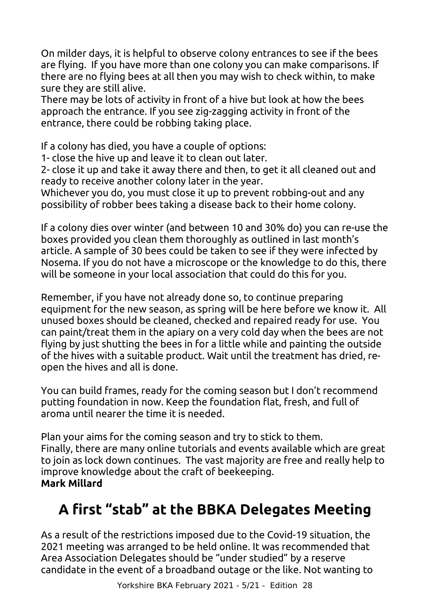On milder days, it is helpful to observe colony entrances to see if the bees are flying. If you have more than one colony you can make comparisons. If there are no flying bees at all then you may wish to check within, to make sure they are still alive.

There may be lots of activity in front of a hive but look at how the bees approach the entrance. If you see zig-zagging activity in front of the entrance, there could be robbing taking place.

If a colony has died, you have a couple of options:

1- close the hive up and leave it to clean out later.

2- close it up and take it away there and then, to get it all cleaned out and ready to receive another colony later in the year.

Whichever you do, you must close it up to prevent robbing-out and any possibility of robber bees taking a disease back to their home colony.

If a colony dies over winter (and between 10 and 30% do) you can re-use the boxes provided you clean them thoroughly as outlined in last month's article. A sample of 30 bees could be taken to see if they were infected by Nosema. If you do not have a microscope or the knowledge to do this, there will be someone in your local association that could do this for you.

Remember, if you have not already done so, to continue preparing equipment for the new season, as spring will be here before we know it. All unused boxes should be cleaned, checked and repaired ready for use. You can paint/treat them in the apiary on a very cold day when the bees are not flying by just shutting the bees in for a little while and painting the outside of the hives with a suitable product. Wait until the treatment has dried, reopen the hives and all is done.

You can build frames, ready for the coming season but I don't recommend putting foundation in now. Keep the foundation flat, fresh, and full of aroma until nearer the time it is needed.

Plan your aims for the coming season and try to stick to them. Finally, there are many online tutorials and events available which are great to join as lock down continues. The vast majority are free and really help to improve knowledge about the craft of beekeeping. **Mark Millard**

## <span id="page-4-0"></span>**A first "stab" at the BBKA Delegates Meeting**

As a result of the restrictions imposed due to the Covid-19 situation, the 2021 meeting was arranged to be held online. It was recommended that Area Association Delegates should be "under studied" by a reserve candidate in the event of a broadband outage or the like. Not wanting to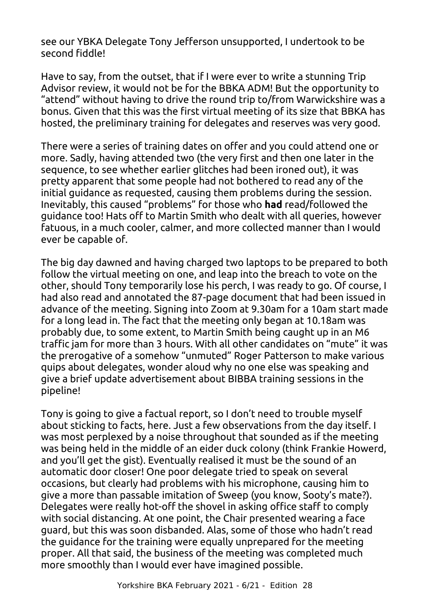see our YBKA Delegate Tony Jefferson unsupported, I undertook to be second fiddle!

Have to say, from the outset, that if I were ever to write a stunning Trip Advisor review, it would not be for the BBKA ADM! But the opportunity to "attend" without having to drive the round trip to/from Warwickshire was a bonus. Given that this was the first virtual meeting of its size that BBKA has hosted, the preliminary training for delegates and reserves was very good.

There were a series of training dates on offer and you could attend one or more. Sadly, having attended two (the very first and then one later in the sequence, to see whether earlier glitches had been ironed out), it was pretty apparent that some people had not bothered to read any of the initial guidance as requested, causing them problems during the session. Inevitably, this caused "problems" for those who **had** read/followed the guidance too! Hats off to Martin Smith who dealt with all queries, however fatuous, in a much cooler, calmer, and more collected manner than I would ever be capable of.

The big day dawned and having charged two laptops to be prepared to both follow the virtual meeting on one, and leap into the breach to vote on the other, should Tony temporarily lose his perch, I was ready to go. Of course, I had also read and annotated the 87-page document that had been issued in advance of the meeting. Signing into Zoom at 9.30am for a 10am start made for a long lead in. The fact that the meeting only began at 10.18am was probably due, to some extent, to Martin Smith being caught up in an M6 traffic jam for more than 3 hours. With all other candidates on "mute" it was the prerogative of a somehow "unmuted" Roger Patterson to make various quips about delegates, wonder aloud why no one else was speaking and give a brief update advertisement about BIBBA training sessions in the pipeline!

Tony is going to give a factual report, so I don't need to trouble myself about sticking to facts, here. Just a few observations from the day itself. I was most perplexed by a noise throughout that sounded as if the meeting was being held in the middle of an eider duck colony (think Frankie Howerd, and you'll get the gist). Eventually realised it must be the sound of an automatic door closer! One poor delegate tried to speak on several occasions, but clearly had problems with his microphone, causing him to give a more than passable imitation of Sweep (you know, Sooty's mate?). Delegates were really hot-off the shovel in asking office staff to comply with social distancing. At one point, the Chair presented wearing a face guard, but this was soon disbanded. Alas, some of those who hadn't read the guidance for the training were equally unprepared for the meeting proper. All that said, the business of the meeting was completed much more smoothly than I would ever have imagined possible.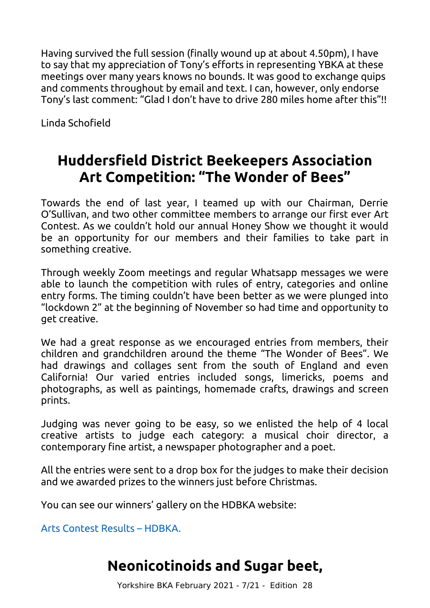Having survived the full session (finally wound up at about 4.50pm), I have to say that my appreciation of Tony's efforts in representing YBKA at these meetings over many years knows no bounds. It was good to exchange quips and comments throughout by email and text. I can, however, only endorse Tony's last comment: "Glad I don't have to drive 280 miles home after this"!!

Linda Schofield

## <span id="page-6-0"></span>**Huddersfield District Beekeepers Association Art Competition: "The Wonder of Bees"**

Towards the end of last year, I teamed up with our Chairman, Derrie O'Sullivan, and two other committee members to arrange our first ever Art Contest. As we couldn't hold our annual Honey Show we thought it would be an opportunity for our members and their families to take part in something creative.

Through weekly Zoom meetings and regular Whatsapp messages we were able to launch the competition with rules of entry, categories and online entry forms. The timing couldn't have been better as we were plunged into "lockdown 2" at the beginning of November so had time and opportunity to get creative.

We had a great response as we encouraged entries from members, their children and grandchildren around the theme "The Wonder of Bees". We had drawings and collages sent from the south of England and even California! Our varied entries included songs, limericks, poems and photographs, as well as paintings, homemade crafts, drawings and screen prints.

Judging was never going to be easy, so we enlisted the help of 4 local creative artists to judge each category: a musical choir director, a contemporary fine artist, a newspaper photographer and a poet.

All the entries were sent to a drop box for the judges to make their decision and we awarded prizes to the winners just before Christmas.

You can see our winners' gallery on the HDBKA website:

[Arts Contest Results – HDBKA](http://www.hdbka.org.uk/artscontestresults.html).

## **Neonicotinoids and Sugar beet,**

Yorkshire BKA February 2021 - 7/21 - Edition 28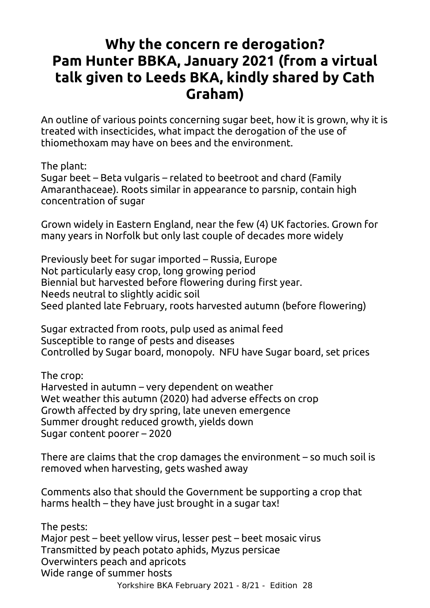## <span id="page-7-0"></span>**Why the concern re derogation? Pam Hunter BBKA, January 2021 (from a virtual talk given to Leeds BKA, kindly shared by Cath Graham)**

An outline of various points concerning sugar beet, how it is grown, why it is treated with insecticides, what impact the derogation of the use of thiomethoxam may have on bees and the environment.

The plant:

Sugar beet – Beta vulgaris – related to beetroot and chard (Family Amaranthaceae). Roots similar in appearance to parsnip, contain high concentration of sugar

Grown widely in Eastern England, near the few (4) UK factories. Grown for many years in Norfolk but only last couple of decades more widely

Previously beet for sugar imported – Russia, Europe Not particularly easy crop, long growing period Biennial but harvested before flowering during first year. Needs neutral to slightly acidic soil Seed planted late February, roots harvested autumn (before flowering)

Sugar extracted from roots, pulp used as animal feed Susceptible to range of pests and diseases Controlled by Sugar board, monopoly. NFU have Sugar board, set prices

The crop: Harvested in autumn – very dependent on weather Wet weather this autumn (2020) had adverse effects on crop Growth affected by dry spring, late uneven emergence Summer drought reduced growth, yields down Sugar content poorer – 2020

There are claims that the crop damages the environment – so much soil is removed when harvesting, gets washed away

Comments also that should the Government be supporting a crop that harms health – they have just brought in a sugar tax!

The pests: Major pest – beet yellow virus, lesser pest – beet mosaic virus Transmitted by peach potato aphids, Myzus persicae Overwinters peach and apricots Wide range of summer hosts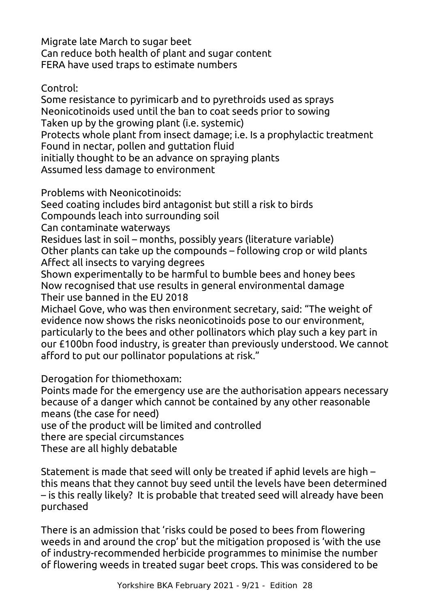Migrate late March to sugar beet Can reduce both health of plant and sugar content FERA have used traps to estimate numbers

Control:

Some resistance to pyrimicarb and to pyrethroids used as sprays Neonicotinoids used until the ban to coat seeds prior to sowing Taken up by the growing plant (i.e. systemic) Protects whole plant from insect damage; i.e. Is a prophylactic treatment Found in nectar, pollen and guttation fluid initially thought to be an advance on spraying plants Assumed less damage to environment

Problems with Neonicotinoids:

Seed coating includes bird antagonist but still a risk to birds

Compounds leach into surrounding soil

Can contaminate waterways

Residues last in soil – months, possibly years (literature variable) Other plants can take up the compounds – following crop or wild plants Affect all insects to varying degrees

Shown experimentally to be harmful to bumble bees and honey bees Now recognised that use results in general environmental damage Their use banned in the EU 2018

Michael Gove, who was then environment secretary, said: "The weight of evidence now shows the risks neonicotinoids pose to our environment, particularly to the bees and other pollinators which play such a key part in our £100bn food industry, is greater than previously understood. We cannot afford to put our pollinator populations at risk."

Derogation for thiomethoxam:

Points made for the emergency use are the authorisation appears necessary because of a danger which cannot be contained by any other reasonable means (the case for need)

use of the product will be limited and controlled

there are special circumstances

These are all highly debatable

Statement is made that seed will only be treated if aphid levels are high – this means that they cannot buy seed until the levels have been determined – is this really likely? It is probable that treated seed will already have been purchased

There is an admission that 'risks could be posed to bees from flowering weeds in and around the crop' but the mitigation proposed is 'with the use of industry-recommended herbicide programmes to minimise the number of flowering weeds in treated sugar beet crops. This was considered to be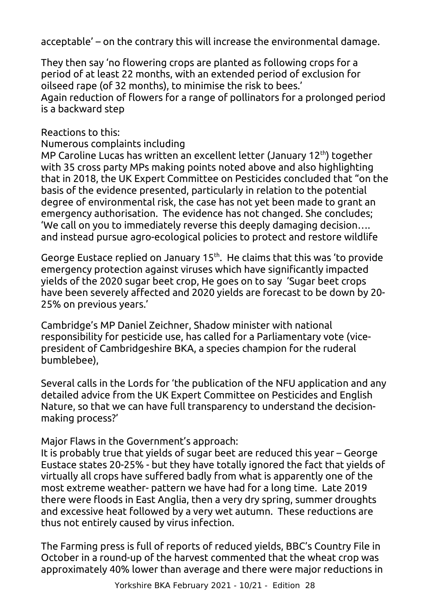acceptable' – on the contrary this will increase the environmental damage.

They then say 'no flowering crops are planted as following crops for a period of at least 22 months, with an extended period of exclusion for oilseed rape (of 32 months), to minimise the risk to bees.' Again reduction of flowers for a range of pollinators for a prolonged period is a backward step

Reactions to this:

Numerous complaints including

MP Caroline Lucas has written an excellent letter (January 12<sup>th</sup>) together with 35 cross party MPs making points noted above and also highlighting that in 2018, the UK Expert Committee on Pesticides concluded that "on the basis of the evidence presented, particularly in relation to the potential degree of environmental risk, the case has not yet been made to grant an emergency authorisation. The evidence has not changed. She concludes; 'We call on you to immediately reverse this deeply damaging decision…. and instead pursue agro-ecological policies to protect and restore wildlife

George Eustace replied on January 15th. He claims that this was 'to provide emergency protection against viruses which have significantly impacted yields of the 2020 sugar beet crop, He goes on to say 'Sugar beet crops have been severely affected and 2020 yields are forecast to be down by 20- 25% on previous years.'

Cambridge's MP Daniel Zeichner, Shadow minister with national responsibility for pesticide use, has called for a Parliamentary vote (vicepresident of Cambridgeshire BKA, a species champion for the ruderal bumblebee),

Several calls in the Lords for 'the publication of the NFU application and any detailed advice from the UK Expert Committee on Pesticides and English Nature, so that we can have full transparency to understand the decisionmaking process?'

Major Flaws in the Government's approach:

It is probably true that yields of sugar beet are reduced this year – George Eustace states 20-25% - but they have totally ignored the fact that yields of virtually all crops have suffered badly from what is apparently one of the most extreme weather- pattern we have had for a long time. Late 2019 there were floods in East Anglia, then a very dry spring, summer droughts and excessive heat followed by a very wet autumn. These reductions are thus not entirely caused by virus infection.

The Farming press is full of reports of reduced yields, BBC's Country File in October in a round-up of the harvest commented that the wheat crop was approximately 40% lower than average and there were major reductions in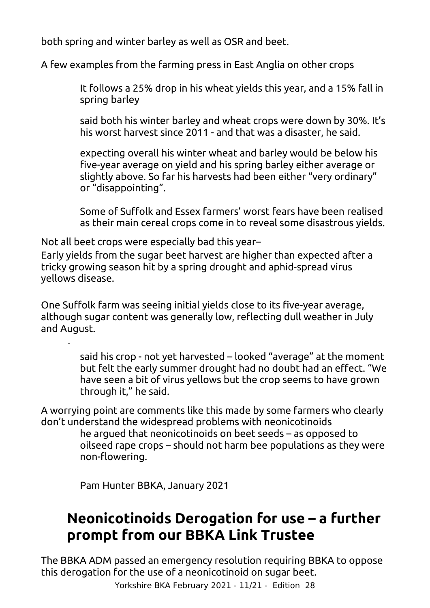both spring and winter barley as well as OSR and beet.

A few examples from the farming press in East Anglia on other crops

It follows a 25% drop in his wheat yields this year, and a 15% fall in spring barley

said both his winter barley and wheat crops were down by 30%. It's his worst harvest since 2011 - and that was a disaster, he said.

expecting overall his winter wheat and barley would be below his five-year average on yield and his spring barley either average or slightly above. So far his harvests had been either "very ordinary" or "disappointing".

Some of Suffolk and Essex farmers' worst fears have been realised as their main cereal crops come in to reveal some disastrous yields.

Not all beet crops were especially bad this year–

*-*

Early yields from the sugar beet harvest are higher than expected after a tricky growing season hit by a spring drought and aphid-spread virus yellows disease.

One Suffolk farm was seeing initial yields close to its five-year average, although sugar content was generally low, reflecting dull weather in July and August.

> said his crop - not yet harvested – looked "average" at the moment but felt the early summer drought had no doubt had an effect. "We have seen a bit of virus yellows but the crop seems to have grown through it," he said.

A worrying point are comments like this made by some farmers who clearly don't understand the widespread problems with neonicotinoids

> he argued that neonicotinoids on beet seeds – as opposed to oilseed rape crops – should not harm bee populations as they were non-flowering.

Pam Hunter BBKA, January 2021

## **[Neonicotinoids Derogation for use – a further](http://www.hdbka.org.uk/artscontestresults.html)  [prompt from our BBKA Link Trustee](http://www.hdbka.org.uk/artscontestresults.html)**

The BBKA ADM passed an emergency resolution requiring BBKA to oppose this derogation for the use of a neonicotinoid on sugar beet.

Yorkshire BKA February 2021 - 11/21 - Edition 28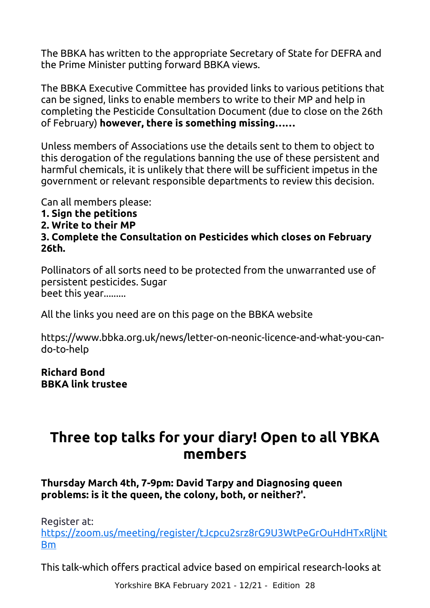The BBKA has written to the appropriate Secretary of State for DEFRA and the Prime Minister putting forward BBKA views.

<span id="page-11-1"></span>The BBKA Executive Committee has provided links to various petitions that can be signed, links to enable members to write to their MP and help in completing the Pesticide Consultation Document (due to close on the 26th of February) **however, there is something missing……**

Unless members of Associations use the details sent to them to object to this derogation of the regulations banning the use of these persistent and harmful chemicals, it is unlikely that there will be sufficient impetus in the government or relevant responsible departments to review this decision.

[Can all members please:](http://www.hdbka.org.uk/artscontestresults.html)

- **[1. Sign the petitions](http://www.hdbka.org.uk/artscontestresults.html)**
- **[2. Write to their MP](http://www.hdbka.org.uk/artscontestresults.html)**

#### **[3. Complete the Consultation on Pesticides which closes on February](http://www.hdbka.org.uk/artscontestresults.html)  [26th.](http://www.hdbka.org.uk/artscontestresults.html)**

[Pollinators of all sorts need to be protected from the unwarranted use of](http://www.hdbka.org.uk/artscontestresults.html)  [persistent pesticides. Sugar](http://www.hdbka.org.uk/artscontestresults.html) [beet this year.........](http://www.hdbka.org.uk/artscontestresults.html)

[All the links you need are on this page on the BBKA website](http://www.hdbka.org.uk/artscontestresults.html)

https://www.bbka.org.uk/news/letter-on-neonic-licence-and-what-you-cando-to-help

**[Richard Bond](http://www.hdbka.org.uk/artscontestresults.html) [BBKA link trustee](http://www.hdbka.org.uk/artscontestresults.html)**

## <span id="page-11-0"></span>**Three top talks for your diary! Open to all YBKA members**

**Thursday March 4th, 7-9pm: David Tarpy and Diagnosing queen problems: is it the queen, the colony, both, or neither?'.**

Register at:

[https://zoom.us/meeting/register/tJcpcu2srz8rG9U3WtPeGrOuHdHTxRljNt](https://zoom.us/meeting/register/tJcpcu2srz8rG9U3WtPeGrOuHdHTxRljNtBm) [Bm](https://zoom.us/meeting/register/tJcpcu2srz8rG9U3WtPeGrOuHdHTxRljNtBm)

This talk-which offers practical advice based on empirical research-looks at

Yorkshire BKA February 2021 - 12/21 - Edition 28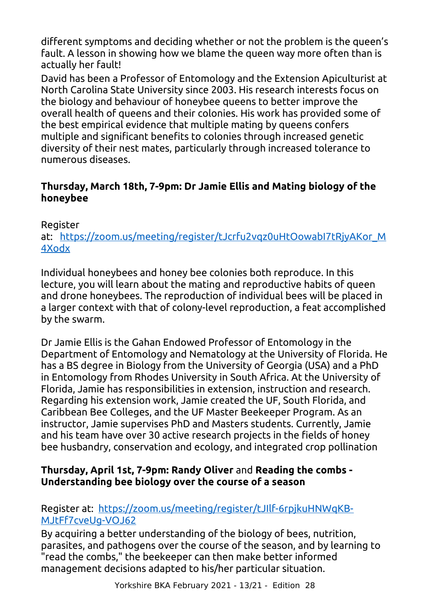different symptoms and deciding whether or not the problem is the queen's fault. A lesson in showing how we blame the queen way more often than is actually her fault!

David has been a Professor of Entomology and the Extension Apiculturist at North Carolina State University since 2003. His research interests focus on the biology and behaviour of honeybee queens to better improve the overall health of queens and their colonies. His work has provided some of the best empirical evidence that multiple mating by queens confers multiple and significant benefits to colonies through increased genetic diversity of their nest mates, particularly through increased tolerance to numerous diseases.

#### **Thursday, March 18th, 7-9pm: Dr Jamie Ellis and Mating biology of the honeybee**

Register

at: [https://zoom.us/meeting/register/tJcrfu2vqz0uHtOowabI7tRjyAKor\\_M](https://zoom.us/meeting/register/tJcrfu2vqz0uHtOowabI7tRjyAKor_M4Xodx) [4Xodx](https://zoom.us/meeting/register/tJcrfu2vqz0uHtOowabI7tRjyAKor_M4Xodx)

Individual honeybees and honey bee colonies both reproduce. In this lecture, you will learn about the mating and reproductive habits of queen and drone honeybees. The reproduction of individual bees will be placed in a larger context with that of colony-level reproduction, a feat accomplished by the swarm.

Dr Jamie Ellis is the Gahan Endowed Professor of Entomology in the Department of Entomology and Nematology at the University of Florida. He has a BS degree in Biology from the University of Georgia (USA) and a PhD in Entomology from Rhodes University in South Africa. At the University of Florida, Jamie has responsibilities in extension, instruction and research. Regarding his extension work, Jamie created the UF, South Florida, and Caribbean Bee Colleges, and the UF Master Beekeeper Program. As an instructor, Jamie supervises PhD and Masters students. Currently, Jamie and his team have over 30 active research projects in the fields of honey bee husbandry, conservation and ecology, and integrated crop pollination

#### **Thursday, April 1st, 7-9pm: Randy Oliver** and **Reading the combs - Understanding bee biology over the course of a season**

#### Register at: [https://zoom.us/meeting/register/tJIlf-6rpjkuHNWqKB-](http://link.membershipservices.org.uk/ls/click?upn=qlsqTDJUhdcbONin573Wnondis-2FDIwgDkpsYponHw0NY3OZhiX79M1ataAvpGgILQHHe-2BXZwiybEfqqovBuNqvTOQtfrlXY4T-2BV0AqumFag-3D7Ey__bgi3AGppfn28x1zoxkJT2LpajmbiQ1hg2Yq07jNAb9gzJW-2FHQekJJM4eNWCVMacwDE-2FcspJgqzWmhpq8of-2B9A6Q8eqURQ3wF3urLsi4s6rA7Z77PQmyUQ6IFVw5XCMnvF4xnCOMeMlUxrjVs6CgkISiBE28xM9HDZ6VQgGoNYmltAuxxuoA2bmKJsq08YLqlG7U3-2BMd2iqyha0aM9YGloZU1A72f5gRvlSF76HrEwfWbIUm38-2FEtfregjlk2-2BSLft2Zoy75kyVzvzOnb606ksDTkSyIeGDjoEAxUBYlKfaXiWflasV9VtJ0pZQyy4NJT)[MJtFf7cveUg-VOJ62](http://link.membershipservices.org.uk/ls/click?upn=qlsqTDJUhdcbONin573Wnondis-2FDIwgDkpsYponHw0NY3OZhiX79M1ataAvpGgILQHHe-2BXZwiybEfqqovBuNqvTOQtfrlXY4T-2BV0AqumFag-3D7Ey__bgi3AGppfn28x1zoxkJT2LpajmbiQ1hg2Yq07jNAb9gzJW-2FHQekJJM4eNWCVMacwDE-2FcspJgqzWmhpq8of-2B9A6Q8eqURQ3wF3urLsi4s6rA7Z77PQmyUQ6IFVw5XCMnvF4xnCOMeMlUxrjVs6CgkISiBE28xM9HDZ6VQgGoNYmltAuxxuoA2bmKJsq08YLqlG7U3-2BMd2iqyha0aM9YGloZU1A72f5gRvlSF76HrEwfWbIUm38-2FEtfregjlk2-2BSLft2Zoy75kyVzvzOnb606ksDTkSyIeGDjoEAxUBYlKfaXiWflasV9VtJ0pZQyy4NJT)

By acquiring a better understanding of the biology of bees, nutrition, parasites, and pathogens over the course of the season, and by learning to "read the combs," the beekeeper can then make better informed management decisions adapted to his/her particular situation.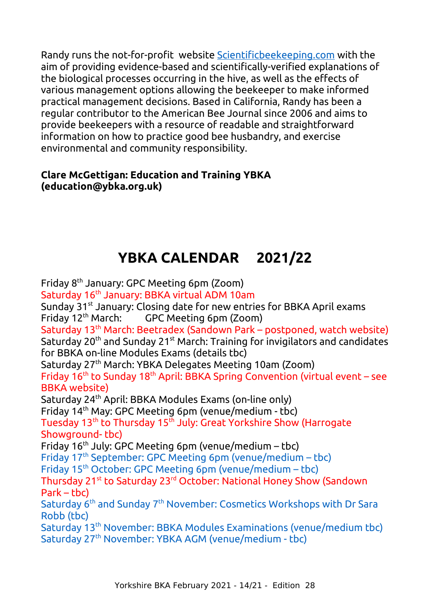Randy runs the not-for-profit website [Scientificbeekeeping.com](http://link.membershipservices.org.uk/ls/click?upn=VOcjWEeGD1xYN1SiXUf7v8gs9U9PxNSxHSGdROB5o-2BMBsa-2FhlKsLxpDiweOAKick32Au_bgi3AGppfn28x1zoxkJT2LpajmbiQ1hg2Yq07jNAb9gzJW-2FHQekJJM4eNWCVMacwDE-2FcspJgqzWmhpq8of-2B9A6Q8eqURQ3wF3urLsi4s6rA7Z77PQmyUQ6IFVw5XCMnvF4xnCOMeMlUxrjVs6CgkISiBE28xM9HDZ6VQgGoNYmlbT0LdGa1z4zASQkFmkpL1UV7Nf5-2FF-2BsSHCYA2DGduHr7l3zi085WyFTfXyGAOhf63JrssyGwsuYpTW3lh-2FXzchb0FMd67M9HLXMQdE-2BQipbnitFaiI3vkzAdnCRpbjwPDyNgRojJe9f8sbO4KpUnR) with the aim of providing evidence-based and scientifically-verified explanations of the biological processes occurring in the hive, as well as the effects of various management options allowing the beekeeper to make informed practical management decisions. Based in California, Randy has been a regular contributor to the American Bee Journal since 2006 and aims to provide beekeepers with a resource of readable and straightforward information on how to practice good bee husbandry, and exercise environmental and community responsibility.

#### **Clare McGettigan: Education and Training YBKA (education@ybka.org.uk)**

## <span id="page-13-0"></span>**[YBKA CALENDAR 2021/22](http://link.membershipservices.org.uk/ls/click?upn=VOcjWEeGD1xYN1SiXUf7v8gs9U9PxNSxHSGdROB5o-2BMBsa-2FhlKsLxpDiweOAKick32Au_bgi3AGppfn28x1zoxkJT2LpajmbiQ1hg2Yq07jNAb9gzJW-2FHQekJJM4eNWCVMacwDE-2FcspJgqzWmhpq8of-2B9A6Q8eqURQ3wF3urLsi4s6rA7Z77PQmyUQ6IFVw5XCMnvF4xnCOMeMlUxrjVs6CgkISiBE28xM9HDZ6VQgGoNYmlbT0LdGa1z4zASQkFmkpL1UV7Nf5-2FF-2BsSHCYA2DGduHr7l3zi085WyFTfXyGAOhf63JrssyGwsuYpTW3lh-2FXzchb0FMd67M9HLXMQdE-2BQipbnitFaiI3vkzAdnCRpbjwPDyNgRojJe9f8sbO4KpUnR)**

Friday 8th [January: GPC Meeting 6pm \(Zoom\)](http://link.membershipservices.org.uk/ls/click?upn=VOcjWEeGD1xYN1SiXUf7v8gs9U9PxNSxHSGdROB5o-2BMBsa-2FhlKsLxpDiweOAKick32Au_bgi3AGppfn28x1zoxkJT2LpajmbiQ1hg2Yq07jNAb9gzJW-2FHQekJJM4eNWCVMacwDE-2FcspJgqzWmhpq8of-2B9A6Q8eqURQ3wF3urLsi4s6rA7Z77PQmyUQ6IFVw5XCMnvF4xnCOMeMlUxrjVs6CgkISiBE28xM9HDZ6VQgGoNYmlbT0LdGa1z4zASQkFmkpL1UV7Nf5-2FF-2BsSHCYA2DGduHr7l3zi085WyFTfXyGAOhf63JrssyGwsuYpTW3lh-2FXzchb0FMd67M9HLXMQdE-2BQipbnitFaiI3vkzAdnCRpbjwPDyNgRojJe9f8sbO4KpUnR) Saturday 16<sup>th</sup> [January: BBKA virtual ADM 10am](http://link.membershipservices.org.uk/ls/click?upn=VOcjWEeGD1xYN1SiXUf7v8gs9U9PxNSxHSGdROB5o-2BMBsa-2FhlKsLxpDiweOAKick32Au_bgi3AGppfn28x1zoxkJT2LpajmbiQ1hg2Yq07jNAb9gzJW-2FHQekJJM4eNWCVMacwDE-2FcspJgqzWmhpq8of-2B9A6Q8eqURQ3wF3urLsi4s6rA7Z77PQmyUQ6IFVw5XCMnvF4xnCOMeMlUxrjVs6CgkISiBE28xM9HDZ6VQgGoNYmlbT0LdGa1z4zASQkFmkpL1UV7Nf5-2FF-2BsSHCYA2DGduHr7l3zi085WyFTfXyGAOhf63JrssyGwsuYpTW3lh-2FXzchb0FMd67M9HLXMQdE-2BQipbnitFaiI3vkzAdnCRpbjwPDyNgRojJe9f8sbO4KpUnR) Sunday 31<sup>st</sup> [January: Closing date for new entries for BBKA April exams](http://link.membershipservices.org.uk/ls/click?upn=VOcjWEeGD1xYN1SiXUf7v8gs9U9PxNSxHSGdROB5o-2BMBsa-2FhlKsLxpDiweOAKick32Au_bgi3AGppfn28x1zoxkJT2LpajmbiQ1hg2Yq07jNAb9gzJW-2FHQekJJM4eNWCVMacwDE-2FcspJgqzWmhpq8of-2B9A6Q8eqURQ3wF3urLsi4s6rA7Z77PQmyUQ6IFVw5XCMnvF4xnCOMeMlUxrjVs6CgkISiBE28xM9HDZ6VQgGoNYmlbT0LdGa1z4zASQkFmkpL1UV7Nf5-2FF-2BsSHCYA2DGduHr7l3zi085WyFTfXyGAOhf63JrssyGwsuYpTW3lh-2FXzchb0FMd67M9HLXMQdE-2BQipbnitFaiI3vkzAdnCRpbjwPDyNgRojJe9f8sbO4KpUnR) Friday 12<sup>th</sup> [March: GPC Meeting 6pm \(Zoom\)](http://link.membershipservices.org.uk/ls/click?upn=VOcjWEeGD1xYN1SiXUf7v8gs9U9PxNSxHSGdROB5o-2BMBsa-2FhlKsLxpDiweOAKick32Au_bgi3AGppfn28x1zoxkJT2LpajmbiQ1hg2Yq07jNAb9gzJW-2FHQekJJM4eNWCVMacwDE-2FcspJgqzWmhpq8of-2B9A6Q8eqURQ3wF3urLsi4s6rA7Z77PQmyUQ6IFVw5XCMnvF4xnCOMeMlUxrjVs6CgkISiBE28xM9HDZ6VQgGoNYmlbT0LdGa1z4zASQkFmkpL1UV7Nf5-2FF-2BsSHCYA2DGduHr7l3zi085WyFTfXyGAOhf63JrssyGwsuYpTW3lh-2FXzchb0FMd67M9HLXMQdE-2BQipbnitFaiI3vkzAdnCRpbjwPDyNgRojJe9f8sbO4KpUnR) Saturday 13th [March: Beetradex \(Sandown Park – postponed, watch website\)](http://link.membershipservices.org.uk/ls/click?upn=VOcjWEeGD1xYN1SiXUf7v8gs9U9PxNSxHSGdROB5o-2BMBsa-2FhlKsLxpDiweOAKick32Au_bgi3AGppfn28x1zoxkJT2LpajmbiQ1hg2Yq07jNAb9gzJW-2FHQekJJM4eNWCVMacwDE-2FcspJgqzWmhpq8of-2B9A6Q8eqURQ3wF3urLsi4s6rA7Z77PQmyUQ6IFVw5XCMnvF4xnCOMeMlUxrjVs6CgkISiBE28xM9HDZ6VQgGoNYmlbT0LdGa1z4zASQkFmkpL1UV7Nf5-2FF-2BsSHCYA2DGduHr7l3zi085WyFTfXyGAOhf63JrssyGwsuYpTW3lh-2FXzchb0FMd67M9HLXMQdE-2BQipbnitFaiI3vkzAdnCRpbjwPDyNgRojJe9f8sbO4KpUnR) Saturday 20<sup>th</sup> and Sunday 21<sup>st</sup> [March: Training for invigilators and candidates](http://link.membershipservices.org.uk/ls/click?upn=VOcjWEeGD1xYN1SiXUf7v8gs9U9PxNSxHSGdROB5o-2BMBsa-2FhlKsLxpDiweOAKick32Au_bgi3AGppfn28x1zoxkJT2LpajmbiQ1hg2Yq07jNAb9gzJW-2FHQekJJM4eNWCVMacwDE-2FcspJgqzWmhpq8of-2B9A6Q8eqURQ3wF3urLsi4s6rA7Z77PQmyUQ6IFVw5XCMnvF4xnCOMeMlUxrjVs6CgkISiBE28xM9HDZ6VQgGoNYmlbT0LdGa1z4zASQkFmkpL1UV7Nf5-2FF-2BsSHCYA2DGduHr7l3zi085WyFTfXyGAOhf63JrssyGwsuYpTW3lh-2FXzchb0FMd67M9HLXMQdE-2BQipbnitFaiI3vkzAdnCRpbjwPDyNgRojJe9f8sbO4KpUnR) [for BBKA on-line Modules Exams \(details tbc\)](http://link.membershipservices.org.uk/ls/click?upn=VOcjWEeGD1xYN1SiXUf7v8gs9U9PxNSxHSGdROB5o-2BMBsa-2FhlKsLxpDiweOAKick32Au_bgi3AGppfn28x1zoxkJT2LpajmbiQ1hg2Yq07jNAb9gzJW-2FHQekJJM4eNWCVMacwDE-2FcspJgqzWmhpq8of-2B9A6Q8eqURQ3wF3urLsi4s6rA7Z77PQmyUQ6IFVw5XCMnvF4xnCOMeMlUxrjVs6CgkISiBE28xM9HDZ6VQgGoNYmlbT0LdGa1z4zASQkFmkpL1UV7Nf5-2FF-2BsSHCYA2DGduHr7l3zi085WyFTfXyGAOhf63JrssyGwsuYpTW3lh-2FXzchb0FMd67M9HLXMQdE-2BQipbnitFaiI3vkzAdnCRpbjwPDyNgRojJe9f8sbO4KpUnR) Saturday 27th [March: YBKA Delegates Meeting 10am \(Zoom\)](http://link.membershipservices.org.uk/ls/click?upn=VOcjWEeGD1xYN1SiXUf7v8gs9U9PxNSxHSGdROB5o-2BMBsa-2FhlKsLxpDiweOAKick32Au_bgi3AGppfn28x1zoxkJT2LpajmbiQ1hg2Yq07jNAb9gzJW-2FHQekJJM4eNWCVMacwDE-2FcspJgqzWmhpq8of-2B9A6Q8eqURQ3wF3urLsi4s6rA7Z77PQmyUQ6IFVw5XCMnvF4xnCOMeMlUxrjVs6CgkISiBE28xM9HDZ6VQgGoNYmlbT0LdGa1z4zASQkFmkpL1UV7Nf5-2FF-2BsSHCYA2DGduHr7l3zi085WyFTfXyGAOhf63JrssyGwsuYpTW3lh-2FXzchb0FMd67M9HLXMQdE-2BQipbnitFaiI3vkzAdnCRpbjwPDyNgRojJe9f8sbO4KpUnR) Friday  $16<sup>th</sup>$  to Sunday 18<sup>th</sup> [April: BBKA Spring Convention \(virtual event – see](http://link.membershipservices.org.uk/ls/click?upn=VOcjWEeGD1xYN1SiXUf7v8gs9U9PxNSxHSGdROB5o-2BMBsa-2FhlKsLxpDiweOAKick32Au_bgi3AGppfn28x1zoxkJT2LpajmbiQ1hg2Yq07jNAb9gzJW-2FHQekJJM4eNWCVMacwDE-2FcspJgqzWmhpq8of-2B9A6Q8eqURQ3wF3urLsi4s6rA7Z77PQmyUQ6IFVw5XCMnvF4xnCOMeMlUxrjVs6CgkISiBE28xM9HDZ6VQgGoNYmlbT0LdGa1z4zASQkFmkpL1UV7Nf5-2FF-2BsSHCYA2DGduHr7l3zi085WyFTfXyGAOhf63JrssyGwsuYpTW3lh-2FXzchb0FMd67M9HLXMQdE-2BQipbnitFaiI3vkzAdnCRpbjwPDyNgRojJe9f8sbO4KpUnR) [BBKA website\)](http://link.membershipservices.org.uk/ls/click?upn=VOcjWEeGD1xYN1SiXUf7v8gs9U9PxNSxHSGdROB5o-2BMBsa-2FhlKsLxpDiweOAKick32Au_bgi3AGppfn28x1zoxkJT2LpajmbiQ1hg2Yq07jNAb9gzJW-2FHQekJJM4eNWCVMacwDE-2FcspJgqzWmhpq8of-2B9A6Q8eqURQ3wF3urLsi4s6rA7Z77PQmyUQ6IFVw5XCMnvF4xnCOMeMlUxrjVs6CgkISiBE28xM9HDZ6VQgGoNYmlbT0LdGa1z4zASQkFmkpL1UV7Nf5-2FF-2BsSHCYA2DGduHr7l3zi085WyFTfXyGAOhf63JrssyGwsuYpTW3lh-2FXzchb0FMd67M9HLXMQdE-2BQipbnitFaiI3vkzAdnCRpbjwPDyNgRojJe9f8sbO4KpUnR) Saturday 24th [April: BBKA Modules Exams \(on-line only\)](http://link.membershipservices.org.uk/ls/click?upn=VOcjWEeGD1xYN1SiXUf7v8gs9U9PxNSxHSGdROB5o-2BMBsa-2FhlKsLxpDiweOAKick32Au_bgi3AGppfn28x1zoxkJT2LpajmbiQ1hg2Yq07jNAb9gzJW-2FHQekJJM4eNWCVMacwDE-2FcspJgqzWmhpq8of-2B9A6Q8eqURQ3wF3urLsi4s6rA7Z77PQmyUQ6IFVw5XCMnvF4xnCOMeMlUxrjVs6CgkISiBE28xM9HDZ6VQgGoNYmlbT0LdGa1z4zASQkFmkpL1UV7Nf5-2FF-2BsSHCYA2DGduHr7l3zi085WyFTfXyGAOhf63JrssyGwsuYpTW3lh-2FXzchb0FMd67M9HLXMQdE-2BQipbnitFaiI3vkzAdnCRpbjwPDyNgRojJe9f8sbO4KpUnR) Friday 14th [May: GPC Meeting 6pm \(venue/medium - tbc\)](http://link.membershipservices.org.uk/ls/click?upn=VOcjWEeGD1xYN1SiXUf7v8gs9U9PxNSxHSGdROB5o-2BMBsa-2FhlKsLxpDiweOAKick32Au_bgi3AGppfn28x1zoxkJT2LpajmbiQ1hg2Yq07jNAb9gzJW-2FHQekJJM4eNWCVMacwDE-2FcspJgqzWmhpq8of-2B9A6Q8eqURQ3wF3urLsi4s6rA7Z77PQmyUQ6IFVw5XCMnvF4xnCOMeMlUxrjVs6CgkISiBE28xM9HDZ6VQgGoNYmlbT0LdGa1z4zASQkFmkpL1UV7Nf5-2FF-2BsSHCYA2DGduHr7l3zi085WyFTfXyGAOhf63JrssyGwsuYpTW3lh-2FXzchb0FMd67M9HLXMQdE-2BQipbnitFaiI3vkzAdnCRpbjwPDyNgRojJe9f8sbO4KpUnR) Tuesday 13<sup>th</sup> to Thursday 15<sup>th</sup> July: Great Yorkshire Show (Harrogate [Showground- tbc\)](http://link.membershipservices.org.uk/ls/click?upn=VOcjWEeGD1xYN1SiXUf7v8gs9U9PxNSxHSGdROB5o-2BMBsa-2FhlKsLxpDiweOAKick32Au_bgi3AGppfn28x1zoxkJT2LpajmbiQ1hg2Yq07jNAb9gzJW-2FHQekJJM4eNWCVMacwDE-2FcspJgqzWmhpq8of-2B9A6Q8eqURQ3wF3urLsi4s6rA7Z77PQmyUQ6IFVw5XCMnvF4xnCOMeMlUxrjVs6CgkISiBE28xM9HDZ6VQgGoNYmlbT0LdGa1z4zASQkFmkpL1UV7Nf5-2FF-2BsSHCYA2DGduHr7l3zi085WyFTfXyGAOhf63JrssyGwsuYpTW3lh-2FXzchb0FMd67M9HLXMQdE-2BQipbnitFaiI3vkzAdnCRpbjwPDyNgRojJe9f8sbO4KpUnR) Friday  $16<sup>th</sup>$  July: GPC Meeting 6pm (venue/medium – tbc) Friday 17th [September: GPC Meeting 6pm \(venue/medium – tbc\)](http://link.membershipservices.org.uk/ls/click?upn=VOcjWEeGD1xYN1SiXUf7v8gs9U9PxNSxHSGdROB5o-2BMBsa-2FhlKsLxpDiweOAKick32Au_bgi3AGppfn28x1zoxkJT2LpajmbiQ1hg2Yq07jNAb9gzJW-2FHQekJJM4eNWCVMacwDE-2FcspJgqzWmhpq8of-2B9A6Q8eqURQ3wF3urLsi4s6rA7Z77PQmyUQ6IFVw5XCMnvF4xnCOMeMlUxrjVs6CgkISiBE28xM9HDZ6VQgGoNYmlbT0LdGa1z4zASQkFmkpL1UV7Nf5-2FF-2BsSHCYA2DGduHr7l3zi085WyFTfXyGAOhf63JrssyGwsuYpTW3lh-2FXzchb0FMd67M9HLXMQdE-2BQipbnitFaiI3vkzAdnCRpbjwPDyNgRojJe9f8sbO4KpUnR) Friday 15th [October: GPC Meeting 6pm \(venue/medium – tbc\)](http://link.membershipservices.org.uk/ls/click?upn=VOcjWEeGD1xYN1SiXUf7v8gs9U9PxNSxHSGdROB5o-2BMBsa-2FhlKsLxpDiweOAKick32Au_bgi3AGppfn28x1zoxkJT2LpajmbiQ1hg2Yq07jNAb9gzJW-2FHQekJJM4eNWCVMacwDE-2FcspJgqzWmhpq8of-2B9A6Q8eqURQ3wF3urLsi4s6rA7Z77PQmyUQ6IFVw5XCMnvF4xnCOMeMlUxrjVs6CgkISiBE28xM9HDZ6VQgGoNYmlbT0LdGa1z4zASQkFmkpL1UV7Nf5-2FF-2BsSHCYA2DGduHr7l3zi085WyFTfXyGAOhf63JrssyGwsuYpTW3lh-2FXzchb0FMd67M9HLXMQdE-2BQipbnitFaiI3vkzAdnCRpbjwPDyNgRojJe9f8sbO4KpUnR) Thursday 21<sup>st</sup> to Saturday 23<sup>rd</sup> October: National Honey Show (Sandown [Park – tbc\)](http://link.membershipservices.org.uk/ls/click?upn=VOcjWEeGD1xYN1SiXUf7v8gs9U9PxNSxHSGdROB5o-2BMBsa-2FhlKsLxpDiweOAKick32Au_bgi3AGppfn28x1zoxkJT2LpajmbiQ1hg2Yq07jNAb9gzJW-2FHQekJJM4eNWCVMacwDE-2FcspJgqzWmhpq8of-2B9A6Q8eqURQ3wF3urLsi4s6rA7Z77PQmyUQ6IFVw5XCMnvF4xnCOMeMlUxrjVs6CgkISiBE28xM9HDZ6VQgGoNYmlbT0LdGa1z4zASQkFmkpL1UV7Nf5-2FF-2BsSHCYA2DGduHr7l3zi085WyFTfXyGAOhf63JrssyGwsuYpTW3lh-2FXzchb0FMd67M9HLXMQdE-2BQipbnitFaiI3vkzAdnCRpbjwPDyNgRojJe9f8sbO4KpUnR) Saturday 6<sup>th</sup> and Sunday 7<sup>th</sup> November: Cosmetics Workshops with Dr Sara [Robb \(tbc\)](http://link.membershipservices.org.uk/ls/click?upn=VOcjWEeGD1xYN1SiXUf7v8gs9U9PxNSxHSGdROB5o-2BMBsa-2FhlKsLxpDiweOAKick32Au_bgi3AGppfn28x1zoxkJT2LpajmbiQ1hg2Yq07jNAb9gzJW-2FHQekJJM4eNWCVMacwDE-2FcspJgqzWmhpq8of-2B9A6Q8eqURQ3wF3urLsi4s6rA7Z77PQmyUQ6IFVw5XCMnvF4xnCOMeMlUxrjVs6CgkISiBE28xM9HDZ6VQgGoNYmlbT0LdGa1z4zASQkFmkpL1UV7Nf5-2FF-2BsSHCYA2DGduHr7l3zi085WyFTfXyGAOhf63JrssyGwsuYpTW3lh-2FXzchb0FMd67M9HLXMQdE-2BQipbnitFaiI3vkzAdnCRpbjwPDyNgRojJe9f8sbO4KpUnR) Saturday 13th [November: BBKA Modules Examinations \(venue/medium tbc\)](http://link.membershipservices.org.uk/ls/click?upn=VOcjWEeGD1xYN1SiXUf7v8gs9U9PxNSxHSGdROB5o-2BMBsa-2FhlKsLxpDiweOAKick32Au_bgi3AGppfn28x1zoxkJT2LpajmbiQ1hg2Yq07jNAb9gzJW-2FHQekJJM4eNWCVMacwDE-2FcspJgqzWmhpq8of-2B9A6Q8eqURQ3wF3urLsi4s6rA7Z77PQmyUQ6IFVw5XCMnvF4xnCOMeMlUxrjVs6CgkISiBE28xM9HDZ6VQgGoNYmlbT0LdGa1z4zASQkFmkpL1UV7Nf5-2FF-2BsSHCYA2DGduHr7l3zi085WyFTfXyGAOhf63JrssyGwsuYpTW3lh-2FXzchb0FMd67M9HLXMQdE-2BQipbnitFaiI3vkzAdnCRpbjwPDyNgRojJe9f8sbO4KpUnR) Saturday 27th [November: YBKA AGM \(venue/medium - tbc\)](http://link.membershipservices.org.uk/ls/click?upn=VOcjWEeGD1xYN1SiXUf7v8gs9U9PxNSxHSGdROB5o-2BMBsa-2FhlKsLxpDiweOAKick32Au_bgi3AGppfn28x1zoxkJT2LpajmbiQ1hg2Yq07jNAb9gzJW-2FHQekJJM4eNWCVMacwDE-2FcspJgqzWmhpq8of-2B9A6Q8eqURQ3wF3urLsi4s6rA7Z77PQmyUQ6IFVw5XCMnvF4xnCOMeMlUxrjVs6CgkISiBE28xM9HDZ6VQgGoNYmlbT0LdGa1z4zASQkFmkpL1UV7Nf5-2FF-2BsSHCYA2DGduHr7l3zi085WyFTfXyGAOhf63JrssyGwsuYpTW3lh-2FXzchb0FMd67M9HLXMQdE-2BQipbnitFaiI3vkzAdnCRpbjwPDyNgRojJe9f8sbO4KpUnR)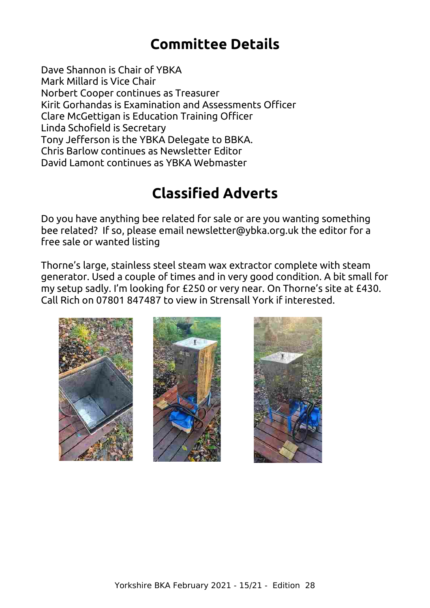## **[Committee Details](http://link.membershipservices.org.uk/ls/click?upn=VOcjWEeGD1xYN1SiXUf7v8gs9U9PxNSxHSGdROB5o-2BMBsa-2FhlKsLxpDiweOAKick32Au_bgi3AGppfn28x1zoxkJT2LpajmbiQ1hg2Yq07jNAb9gzJW-2FHQekJJM4eNWCVMacwDE-2FcspJgqzWmhpq8of-2B9A6Q8eqURQ3wF3urLsi4s6rA7Z77PQmyUQ6IFVw5XCMnvF4xnCOMeMlUxrjVs6CgkISiBE28xM9HDZ6VQgGoNYmlbT0LdGa1z4zASQkFmkpL1UV7Nf5-2FF-2BsSHCYA2DGduHr7l3zi085WyFTfXyGAOhf63JrssyGwsuYpTW3lh-2FXzchb0FMd67M9HLXMQdE-2BQipbnitFaiI3vkzAdnCRpbjwPDyNgRojJe9f8sbO4KpUnR)**

<span id="page-14-1"></span>[Dave Shannon is Chair of YBKA](http://link.membershipservices.org.uk/ls/click?upn=VOcjWEeGD1xYN1SiXUf7v8gs9U9PxNSxHSGdROB5o-2BMBsa-2FhlKsLxpDiweOAKick32Au_bgi3AGppfn28x1zoxkJT2LpajmbiQ1hg2Yq07jNAb9gzJW-2FHQekJJM4eNWCVMacwDE-2FcspJgqzWmhpq8of-2B9A6Q8eqURQ3wF3urLsi4s6rA7Z77PQmyUQ6IFVw5XCMnvF4xnCOMeMlUxrjVs6CgkISiBE28xM9HDZ6VQgGoNYmlbT0LdGa1z4zASQkFmkpL1UV7Nf5-2FF-2BsSHCYA2DGduHr7l3zi085WyFTfXyGAOhf63JrssyGwsuYpTW3lh-2FXzchb0FMd67M9HLXMQdE-2BQipbnitFaiI3vkzAdnCRpbjwPDyNgRojJe9f8sbO4KpUnR) [Mark Millard is Vice Chair](http://link.membershipservices.org.uk/ls/click?upn=VOcjWEeGD1xYN1SiXUf7v8gs9U9PxNSxHSGdROB5o-2BMBsa-2FhlKsLxpDiweOAKick32Au_bgi3AGppfn28x1zoxkJT2LpajmbiQ1hg2Yq07jNAb9gzJW-2FHQekJJM4eNWCVMacwDE-2FcspJgqzWmhpq8of-2B9A6Q8eqURQ3wF3urLsi4s6rA7Z77PQmyUQ6IFVw5XCMnvF4xnCOMeMlUxrjVs6CgkISiBE28xM9HDZ6VQgGoNYmlbT0LdGa1z4zASQkFmkpL1UV7Nf5-2FF-2BsSHCYA2DGduHr7l3zi085WyFTfXyGAOhf63JrssyGwsuYpTW3lh-2FXzchb0FMd67M9HLXMQdE-2BQipbnitFaiI3vkzAdnCRpbjwPDyNgRojJe9f8sbO4KpUnR) [Norbert Cooper continues as Treasurer](http://link.membershipservices.org.uk/ls/click?upn=VOcjWEeGD1xYN1SiXUf7v8gs9U9PxNSxHSGdROB5o-2BMBsa-2FhlKsLxpDiweOAKick32Au_bgi3AGppfn28x1zoxkJT2LpajmbiQ1hg2Yq07jNAb9gzJW-2FHQekJJM4eNWCVMacwDE-2FcspJgqzWmhpq8of-2B9A6Q8eqURQ3wF3urLsi4s6rA7Z77PQmyUQ6IFVw5XCMnvF4xnCOMeMlUxrjVs6CgkISiBE28xM9HDZ6VQgGoNYmlbT0LdGa1z4zASQkFmkpL1UV7Nf5-2FF-2BsSHCYA2DGduHr7l3zi085WyFTfXyGAOhf63JrssyGwsuYpTW3lh-2FXzchb0FMd67M9HLXMQdE-2BQipbnitFaiI3vkzAdnCRpbjwPDyNgRojJe9f8sbO4KpUnR) [Kirit Gorhandas is Examination and Assessments Officer](http://link.membershipservices.org.uk/ls/click?upn=VOcjWEeGD1xYN1SiXUf7v8gs9U9PxNSxHSGdROB5o-2BMBsa-2FhlKsLxpDiweOAKick32Au_bgi3AGppfn28x1zoxkJT2LpajmbiQ1hg2Yq07jNAb9gzJW-2FHQekJJM4eNWCVMacwDE-2FcspJgqzWmhpq8of-2B9A6Q8eqURQ3wF3urLsi4s6rA7Z77PQmyUQ6IFVw5XCMnvF4xnCOMeMlUxrjVs6CgkISiBE28xM9HDZ6VQgGoNYmlbT0LdGa1z4zASQkFmkpL1UV7Nf5-2FF-2BsSHCYA2DGduHr7l3zi085WyFTfXyGAOhf63JrssyGwsuYpTW3lh-2FXzchb0FMd67M9HLXMQdE-2BQipbnitFaiI3vkzAdnCRpbjwPDyNgRojJe9f8sbO4KpUnR)  [Clare McGettigan is Education Training Officer](http://link.membershipservices.org.uk/ls/click?upn=VOcjWEeGD1xYN1SiXUf7v8gs9U9PxNSxHSGdROB5o-2BMBsa-2FhlKsLxpDiweOAKick32Au_bgi3AGppfn28x1zoxkJT2LpajmbiQ1hg2Yq07jNAb9gzJW-2FHQekJJM4eNWCVMacwDE-2FcspJgqzWmhpq8of-2B9A6Q8eqURQ3wF3urLsi4s6rA7Z77PQmyUQ6IFVw5XCMnvF4xnCOMeMlUxrjVs6CgkISiBE28xM9HDZ6VQgGoNYmlbT0LdGa1z4zASQkFmkpL1UV7Nf5-2FF-2BsSHCYA2DGduHr7l3zi085WyFTfXyGAOhf63JrssyGwsuYpTW3lh-2FXzchb0FMd67M9HLXMQdE-2BQipbnitFaiI3vkzAdnCRpbjwPDyNgRojJe9f8sbO4KpUnR)  [Linda Schofield is Secretary](http://link.membershipservices.org.uk/ls/click?upn=VOcjWEeGD1xYN1SiXUf7v8gs9U9PxNSxHSGdROB5o-2BMBsa-2FhlKsLxpDiweOAKick32Au_bgi3AGppfn28x1zoxkJT2LpajmbiQ1hg2Yq07jNAb9gzJW-2FHQekJJM4eNWCVMacwDE-2FcspJgqzWmhpq8of-2B9A6Q8eqURQ3wF3urLsi4s6rA7Z77PQmyUQ6IFVw5XCMnvF4xnCOMeMlUxrjVs6CgkISiBE28xM9HDZ6VQgGoNYmlbT0LdGa1z4zASQkFmkpL1UV7Nf5-2FF-2BsSHCYA2DGduHr7l3zi085WyFTfXyGAOhf63JrssyGwsuYpTW3lh-2FXzchb0FMd67M9HLXMQdE-2BQipbnitFaiI3vkzAdnCRpbjwPDyNgRojJe9f8sbO4KpUnR)  [Tony Jefferson is the YBKA Delegate to BBKA.](http://link.membershipservices.org.uk/ls/click?upn=VOcjWEeGD1xYN1SiXUf7v8gs9U9PxNSxHSGdROB5o-2BMBsa-2FhlKsLxpDiweOAKick32Au_bgi3AGppfn28x1zoxkJT2LpajmbiQ1hg2Yq07jNAb9gzJW-2FHQekJJM4eNWCVMacwDE-2FcspJgqzWmhpq8of-2B9A6Q8eqURQ3wF3urLsi4s6rA7Z77PQmyUQ6IFVw5XCMnvF4xnCOMeMlUxrjVs6CgkISiBE28xM9HDZ6VQgGoNYmlbT0LdGa1z4zASQkFmkpL1UV7Nf5-2FF-2BsSHCYA2DGduHr7l3zi085WyFTfXyGAOhf63JrssyGwsuYpTW3lh-2FXzchb0FMd67M9HLXMQdE-2BQipbnitFaiI3vkzAdnCRpbjwPDyNgRojJe9f8sbO4KpUnR) [Chris Barlow continues as Newsletter Editor](http://link.membershipservices.org.uk/ls/click?upn=VOcjWEeGD1xYN1SiXUf7v8gs9U9PxNSxHSGdROB5o-2BMBsa-2FhlKsLxpDiweOAKick32Au_bgi3AGppfn28x1zoxkJT2LpajmbiQ1hg2Yq07jNAb9gzJW-2FHQekJJM4eNWCVMacwDE-2FcspJgqzWmhpq8of-2B9A6Q8eqURQ3wF3urLsi4s6rA7Z77PQmyUQ6IFVw5XCMnvF4xnCOMeMlUxrjVs6CgkISiBE28xM9HDZ6VQgGoNYmlbT0LdGa1z4zASQkFmkpL1UV7Nf5-2FF-2BsSHCYA2DGduHr7l3zi085WyFTfXyGAOhf63JrssyGwsuYpTW3lh-2FXzchb0FMd67M9HLXMQdE-2BQipbnitFaiI3vkzAdnCRpbjwPDyNgRojJe9f8sbO4KpUnR) [David Lamont continues as YBKA Webmaster](http://link.membershipservices.org.uk/ls/click?upn=VOcjWEeGD1xYN1SiXUf7v8gs9U9PxNSxHSGdROB5o-2BMBsa-2FhlKsLxpDiweOAKick32Au_bgi3AGppfn28x1zoxkJT2LpajmbiQ1hg2Yq07jNAb9gzJW-2FHQekJJM4eNWCVMacwDE-2FcspJgqzWmhpq8of-2B9A6Q8eqURQ3wF3urLsi4s6rA7Z77PQmyUQ6IFVw5XCMnvF4xnCOMeMlUxrjVs6CgkISiBE28xM9HDZ6VQgGoNYmlbT0LdGa1z4zASQkFmkpL1UV7Nf5-2FF-2BsSHCYA2DGduHr7l3zi085WyFTfXyGAOhf63JrssyGwsuYpTW3lh-2FXzchb0FMd67M9HLXMQdE-2BQipbnitFaiI3vkzAdnCRpbjwPDyNgRojJe9f8sbO4KpUnR)

## **[Classified Adverts](http://link.membershipservices.org.uk/ls/click?upn=VOcjWEeGD1xYN1SiXUf7v8gs9U9PxNSxHSGdROB5o-2BMBsa-2FhlKsLxpDiweOAKick32Au_bgi3AGppfn28x1zoxkJT2LpajmbiQ1hg2Yq07jNAb9gzJW-2FHQekJJM4eNWCVMacwDE-2FcspJgqzWmhpq8of-2B9A6Q8eqURQ3wF3urLsi4s6rA7Z77PQmyUQ6IFVw5XCMnvF4xnCOMeMlUxrjVs6CgkISiBE28xM9HDZ6VQgGoNYmlbT0LdGa1z4zASQkFmkpL1UV7Nf5-2FF-2BsSHCYA2DGduHr7l3zi085WyFTfXyGAOhf63JrssyGwsuYpTW3lh-2FXzchb0FMd67M9HLXMQdE-2BQipbnitFaiI3vkzAdnCRpbjwPDyNgRojJe9f8sbO4KpUnR)**

[Do you have anything bee related for sale or are you wanting something](http://link.membershipservices.org.uk/ls/click?upn=VOcjWEeGD1xYN1SiXUf7v8gs9U9PxNSxHSGdROB5o-2BMBsa-2FhlKsLxpDiweOAKick32Au_bgi3AGppfn28x1zoxkJT2LpajmbiQ1hg2Yq07jNAb9gzJW-2FHQekJJM4eNWCVMacwDE-2FcspJgqzWmhpq8of-2B9A6Q8eqURQ3wF3urLsi4s6rA7Z77PQmyUQ6IFVw5XCMnvF4xnCOMeMlUxrjVs6CgkISiBE28xM9HDZ6VQgGoNYmlbT0LdGa1z4zASQkFmkpL1UV7Nf5-2FF-2BsSHCYA2DGduHr7l3zi085WyFTfXyGAOhf63JrssyGwsuYpTW3lh-2FXzchb0FMd67M9HLXMQdE-2BQipbnitFaiI3vkzAdnCRpbjwPDyNgRojJe9f8sbO4KpUnR)  [bee related? If so, please email newsletter@ybka.org.uk the editor for a](http://link.membershipservices.org.uk/ls/click?upn=VOcjWEeGD1xYN1SiXUf7v8gs9U9PxNSxHSGdROB5o-2BMBsa-2FhlKsLxpDiweOAKick32Au_bgi3AGppfn28x1zoxkJT2LpajmbiQ1hg2Yq07jNAb9gzJW-2FHQekJJM4eNWCVMacwDE-2FcspJgqzWmhpq8of-2B9A6Q8eqURQ3wF3urLsi4s6rA7Z77PQmyUQ6IFVw5XCMnvF4xnCOMeMlUxrjVs6CgkISiBE28xM9HDZ6VQgGoNYmlbT0LdGa1z4zASQkFmkpL1UV7Nf5-2FF-2BsSHCYA2DGduHr7l3zi085WyFTfXyGAOhf63JrssyGwsuYpTW3lh-2FXzchb0FMd67M9HLXMQdE-2BQipbnitFaiI3vkzAdnCRpbjwPDyNgRojJe9f8sbO4KpUnR)  [free sale or wanted listing](http://link.membershipservices.org.uk/ls/click?upn=VOcjWEeGD1xYN1SiXUf7v8gs9U9PxNSxHSGdROB5o-2BMBsa-2FhlKsLxpDiweOAKick32Au_bgi3AGppfn28x1zoxkJT2LpajmbiQ1hg2Yq07jNAb9gzJW-2FHQekJJM4eNWCVMacwDE-2FcspJgqzWmhpq8of-2B9A6Q8eqURQ3wF3urLsi4s6rA7Z77PQmyUQ6IFVw5XCMnvF4xnCOMeMlUxrjVs6CgkISiBE28xM9HDZ6VQgGoNYmlbT0LdGa1z4zASQkFmkpL1UV7Nf5-2FF-2BsSHCYA2DGduHr7l3zi085WyFTfXyGAOhf63JrssyGwsuYpTW3lh-2FXzchb0FMd67M9HLXMQdE-2BQipbnitFaiI3vkzAdnCRpbjwPDyNgRojJe9f8sbO4KpUnR)

<span id="page-14-0"></span>[Thorne's large, stainless steel steam wax extractor complete with steam](http://link.membershipservices.org.uk/ls/click?upn=VOcjWEeGD1xYN1SiXUf7v8gs9U9PxNSxHSGdROB5o-2BMBsa-2FhlKsLxpDiweOAKick32Au_bgi3AGppfn28x1zoxkJT2LpajmbiQ1hg2Yq07jNAb9gzJW-2FHQekJJM4eNWCVMacwDE-2FcspJgqzWmhpq8of-2B9A6Q8eqURQ3wF3urLsi4s6rA7Z77PQmyUQ6IFVw5XCMnvF4xnCOMeMlUxrjVs6CgkISiBE28xM9HDZ6VQgGoNYmlbT0LdGa1z4zASQkFmkpL1UV7Nf5-2FF-2BsSHCYA2DGduHr7l3zi085WyFTfXyGAOhf63JrssyGwsuYpTW3lh-2FXzchb0FMd67M9HLXMQdE-2BQipbnitFaiI3vkzAdnCRpbjwPDyNgRojJe9f8sbO4KpUnR)  [generator. Used a couple of times and in very good condition. A bit small for](http://link.membershipservices.org.uk/ls/click?upn=VOcjWEeGD1xYN1SiXUf7v8gs9U9PxNSxHSGdROB5o-2BMBsa-2FhlKsLxpDiweOAKick32Au_bgi3AGppfn28x1zoxkJT2LpajmbiQ1hg2Yq07jNAb9gzJW-2FHQekJJM4eNWCVMacwDE-2FcspJgqzWmhpq8of-2B9A6Q8eqURQ3wF3urLsi4s6rA7Z77PQmyUQ6IFVw5XCMnvF4xnCOMeMlUxrjVs6CgkISiBE28xM9HDZ6VQgGoNYmlbT0LdGa1z4zASQkFmkpL1UV7Nf5-2FF-2BsSHCYA2DGduHr7l3zi085WyFTfXyGAOhf63JrssyGwsuYpTW3lh-2FXzchb0FMd67M9HLXMQdE-2BQipbnitFaiI3vkzAdnCRpbjwPDyNgRojJe9f8sbO4KpUnR) my setup sadly. I'm looking for £250 or very near. On Thorne's site at £430. [Call Rich on 07801 847487 to view in Strensall York if interested.](http://link.membershipservices.org.uk/ls/click?upn=VOcjWEeGD1xYN1SiXUf7v8gs9U9PxNSxHSGdROB5o-2BMBsa-2FhlKsLxpDiweOAKick32Au_bgi3AGppfn28x1zoxkJT2LpajmbiQ1hg2Yq07jNAb9gzJW-2FHQekJJM4eNWCVMacwDE-2FcspJgqzWmhpq8of-2B9A6Q8eqURQ3wF3urLsi4s6rA7Z77PQmyUQ6IFVw5XCMnvF4xnCOMeMlUxrjVs6CgkISiBE28xM9HDZ6VQgGoNYmlbT0LdGa1z4zASQkFmkpL1UV7Nf5-2FF-2BsSHCYA2DGduHr7l3zi085WyFTfXyGAOhf63JrssyGwsuYpTW3lh-2FXzchb0FMd67M9HLXMQdE-2BQipbnitFaiI3vkzAdnCRpbjwPDyNgRojJe9f8sbO4KpUnR)





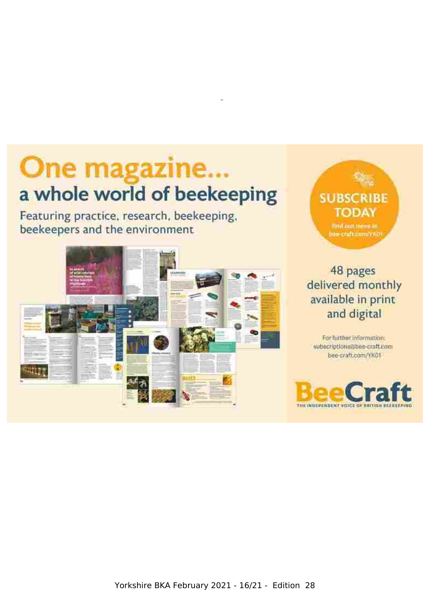## One magazine... a whole world of beekeeping

Featuring practice, research, beekeeping, beekeepers and the environment



**SUBSCRIBE TODAY** 

find cut more at ee-craft.com/rike

48 pages delivered monthly available in print and digital

For further information: subscriptions@be-craft.com bee-craft.com/YK01

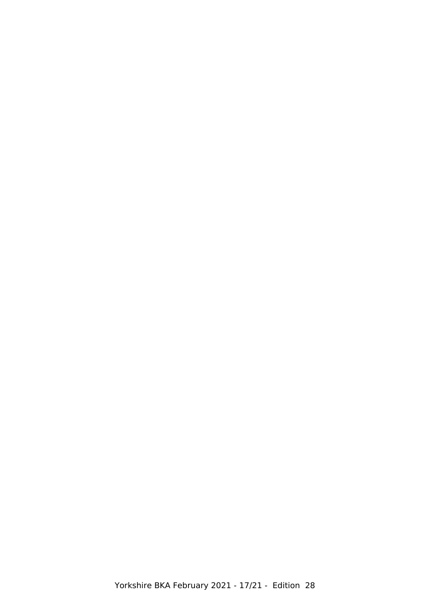Yorkshire BKA February 2021 - 17/21 - Edition 28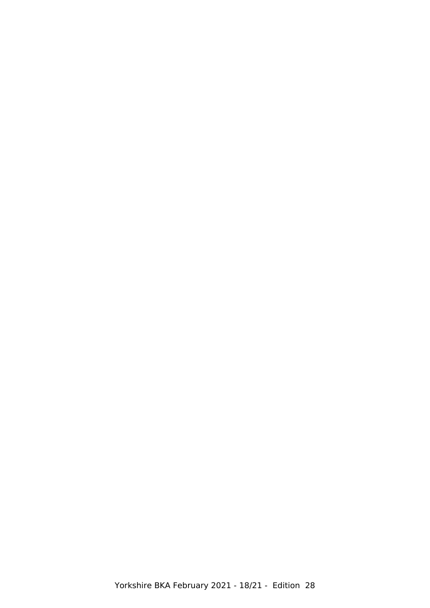Yorkshire BKA February 2021 - 18/21 - Edition 28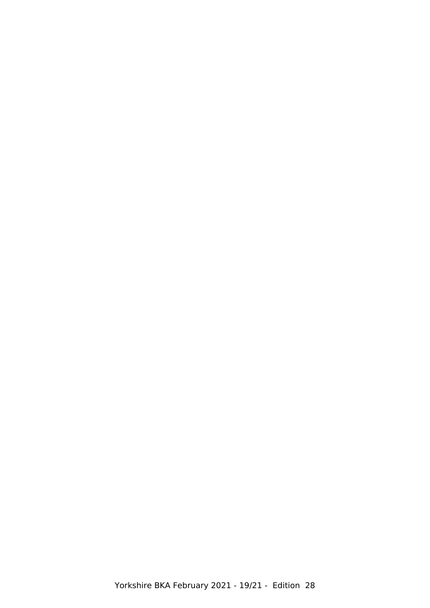Yorkshire BKA February 2021 - 19/21 - Edition 28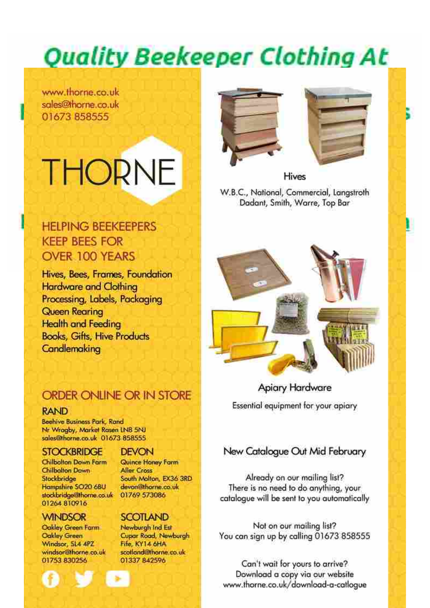## **Ouality Beekeeper Clothing At**

www.thorne.co.uk sales@thorne.co.uk 01673 858555

# **THORNE**

### **HELPING BEEKEEPERS KEEP BEES FOR OVER 100 YEARS**

Hives, Bees, Frames, Foundation **Hardware and Clothing** Processing, Labels, Packaging Queen Rearing **Health and Feeding Books, Gifts, Hive Products** Candlemaking

#### ORDER ONLINE OR IN STORE

#### **RAND**

Beehive Business Park, Rand Nr Wragby, Market Rasen LNB 5NJ sales@thorne.co.uk 01673 858555

#### **STOCKBRIDGE**

Chilbolton Down Farm **Chilbolton Down** Stockbridge Hampshire SO20 6BU stockbridge@thorne.co.uk 01264 810916

#### **WINDSOR**

Oakley Green Farm **Oakley Green** Windsor, SL4 4PZ windsor@thorne.co.uk 01753 830256

#### **DEVON**

Quince Honey Farm **Aller Cross** South Molton, EX36 3RD devon@thorne.co.uk 01769 573086

#### **SCOTLAND**

Newburgh Ind Est Cupar Road, Newburgh Fife, KY14 6HA scatland@thorne.co.uk 01337 842596





Hives

W.B.C., National, Commercial, Langstroth Dadant, Smith, Warre, Top Bar



**Apiary Hardware** Essential equipment for your apiary

#### New Catalogue Out Mid February

Already on our mailing list? There is no need to do anything, your catalogue will be sent to you automatically

Not on our mailing list? You can sign up by calling 01673 858555

Can't wait for yours to arrive? Download a copy via our website www.thorne.co.uk/download-a-catlogue